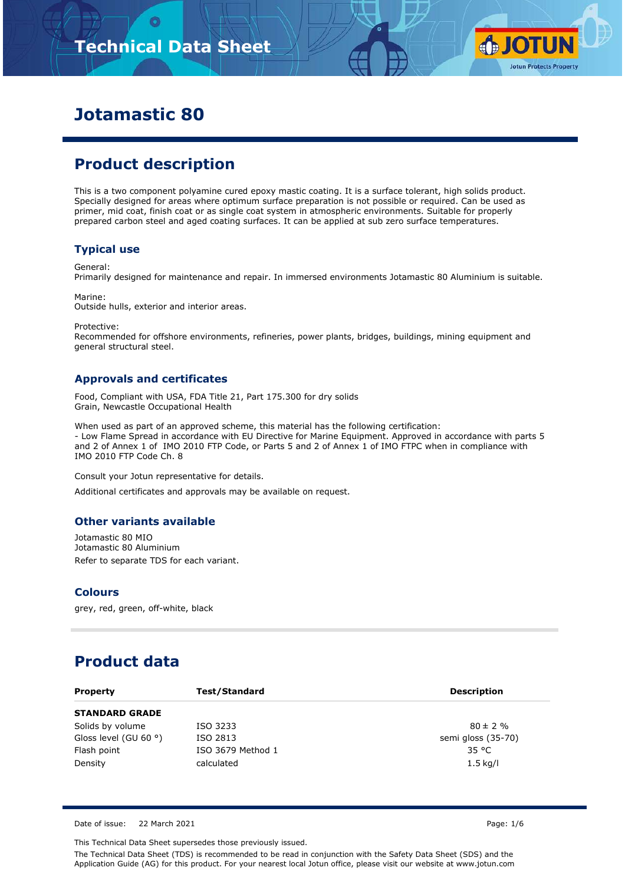# **Technical Data Sheet**



# **Jotamastic 80**

# **Product description**

This is a two component polyamine cured epoxy mastic coating. It is a surface tolerant, high solids product. Specially designed for areas where optimum surface preparation is not possible or required. Can be used as primer, mid coat, finish coat or as single coat system in atmospheric environments. Suitable for properly prepared carbon steel and aged coating surfaces. It can be applied at sub zero surface temperatures.

### **Typical use**

General:

Primarily designed for maintenance and repair. In immersed environments Jotamastic 80 Aluminium is suitable.

Marine: Outside hulls, exterior and interior areas.

Protective:

Recommended for offshore environments, refineries, power plants, bridges, buildings, mining equipment and general structural steel.

### **Approvals and certificates**

Food, Compliant with USA, FDA Title 21, Part 175.300 for dry solids Grain, Newcastle Occupational Health

When used as part of an approved scheme, this material has the following certification: - Low Flame Spread in accordance with EU Directive for Marine Equipment. Approved in accordance with parts 5 and 2 of Annex 1 of IMO 2010 FTP Code, or Parts 5 and 2 of Annex 1 of IMO FTPC when in compliance with IMO 2010 FTP Code Ch. 8

Consult your Jotun representative for details.

Additional certificates and approvals may be available on request.

#### **Other variants available**

Jotamastic 80 MIO Jotamastic 80 Aluminium Refer to separate TDS for each variant.

#### **Colours**

grey, red, green, off-white, black

# **Product data**

| <b>Property</b>                | Test/Standard     | <b>Description</b> |
|--------------------------------|-------------------|--------------------|
| <b>STANDARD GRADE</b>          |                   |                    |
| Solids by volume               | ISO 3233          | $80 \pm 2 \%$      |
| Gloss level (GU 60 $\degree$ ) | ISO 2813          | semi gloss (35-70) |
| Flash point                    | ISO 3679 Method 1 | 35 °C              |
| Density                        | calculated        | $1.5$ kg/l         |

Date of issue: 22 March 2021 Page: 1/6

This Technical Data Sheet supersedes those previously issued.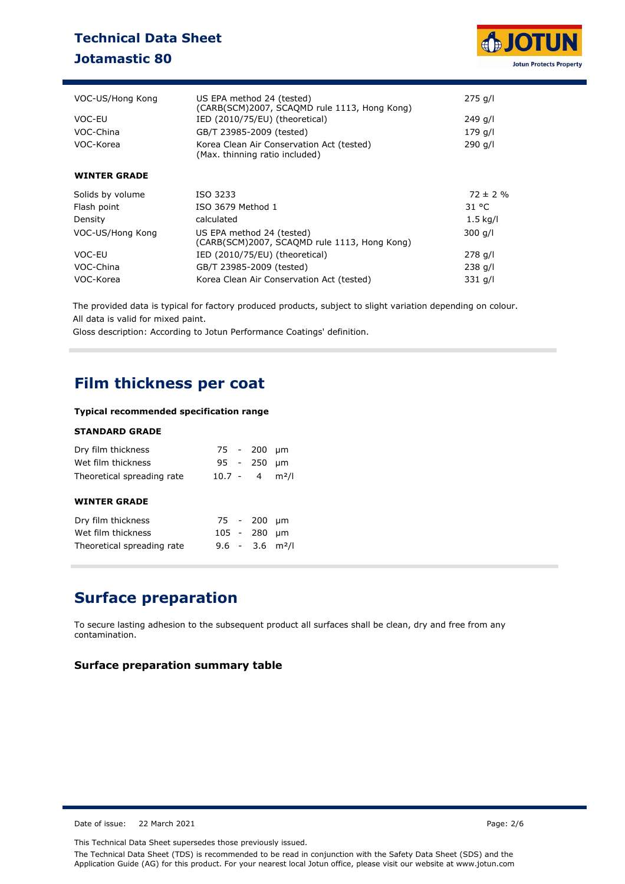# **Technical Data Sheet Jotamastic 80**



| VOC-US/Hong Kong    | US EPA method 24 (tested)<br>(CARB(SCM)2007, SCAQMD rule 1113, Hong Kong)   | $275$ g/l     |
|---------------------|-----------------------------------------------------------------------------|---------------|
| VOC-EU              | IED (2010/75/EU) (theoretical)                                              | $249$ g/l     |
| VOC-China           | GB/T 23985-2009 (tested)                                                    | 179 g/l       |
| VOC-Korea           | Korea Clean Air Conservation Act (tested)<br>(Max. thinning ratio included) | 290 g/l       |
| <b>WINTER GRADE</b> |                                                                             |               |
| Solids by volume    | ISO 3233                                                                    | $72 \pm 2 \%$ |
| Flash point         | ISO 3679 Method 1                                                           | 31 °C         |
| Density             | calculated                                                                  | 1.5 kg/l      |
| VOC-US/Hong Kong    | US EPA method 24 (tested)<br>(CARB(SCM)2007, SCAOMD rule 1113, Hong Kong)   | $300$ g/l     |
| VOC-EU              | IED (2010/75/EU) (theoretical)                                              | $278$ g/l     |
| VOC-China           | GB/T 23985-2009 (tested)                                                    | $238$ g/l     |
| VOC-Korea           | Korea Clean Air Conservation Act (tested)                                   | $331$ g/l     |

The provided data is typical for factory produced products, subject to slight variation depending on colour. All data is valid for mixed paint.

Gloss description: According to Jotun Performance Coatings' definition.

## **Film thickness per coat**

#### **Typical recommended specification range**

#### **STANDARD GRADE**

| Dry film thickness<br>Wet film thickness<br>Theoretical spreading rate |             | 75 - 200<br>95 - 250<br>$10.7 - 4$        | μm<br>µm<br>m <sup>2</sup> /l |
|------------------------------------------------------------------------|-------------|-------------------------------------------|-------------------------------|
| <b>WINTER GRADE</b>                                                    |             |                                           |                               |
| Dry film thickness<br>Wet film thickness<br>Theoretical spreading rate | $105 - 280$ | 75 - 200<br>$9.6 - 3.6$ m <sup>2</sup> /l | μm<br>μm                      |

# **Surface preparation**

To secure lasting adhesion to the subsequent product all surfaces shall be clean, dry and free from any contamination.

### **Surface preparation summary table**

Date of issue: 22 March 2021 **Page: 2/6** 

This Technical Data Sheet supersedes those previously issued.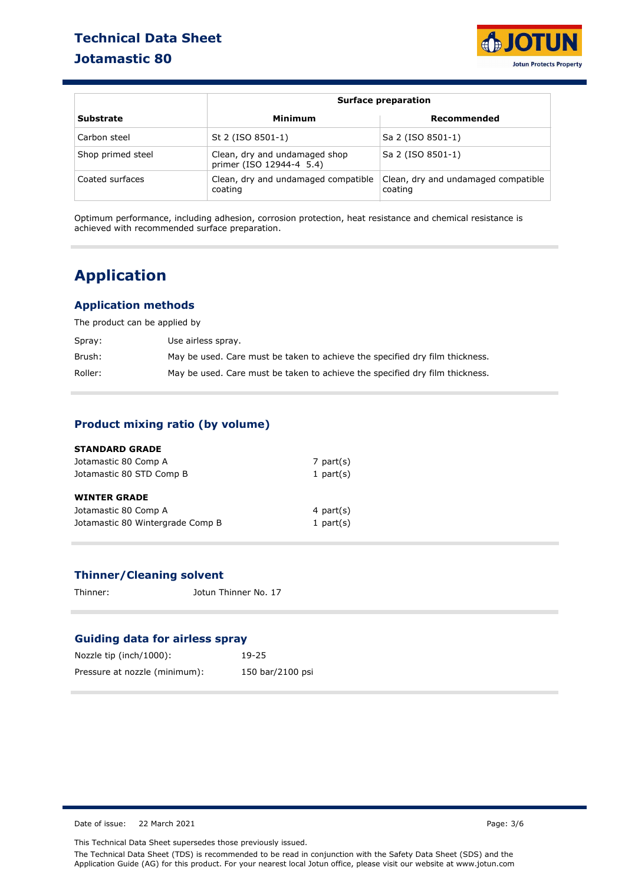# **Technical Data Sheet Jotamastic 80**



|                   |                                                           | <b>Surface preparation</b>                     |  |  |  |
|-------------------|-----------------------------------------------------------|------------------------------------------------|--|--|--|
| <b>Substrate</b>  | Minimum                                                   | Recommended                                    |  |  |  |
| Carbon steel      | St 2 (ISO 8501-1)                                         | Sa 2 (ISO 8501-1)                              |  |  |  |
| Shop primed steel | Clean, dry and undamaged shop<br>primer (ISO 12944-4 5.4) | Sa 2 (ISO 8501-1)                              |  |  |  |
| Coated surfaces   | Clean, dry and undamaged compatible<br>coating            | Clean, dry and undamaged compatible<br>coating |  |  |  |

Optimum performance, including adhesion, corrosion protection, heat resistance and chemical resistance is achieved with recommended surface preparation.

# **Application**

### **Application methods**

The product can be applied by

| Spray:  | Use airless spray.                                                           |
|---------|------------------------------------------------------------------------------|
| Brush:  | May be used. Care must be taken to achieve the specified dry film thickness. |
| Roller: | May be used. Care must be taken to achieve the specified dry film thickness. |

### **Product mixing ratio (by volume)**

| <b>STANDARD GRADE</b>            |              |
|----------------------------------|--------------|
| Jotamastic 80 Comp A             | 7 part $(s)$ |
| Jotamastic 80 STD Comp B         | 1 part $(s)$ |
| <b>WINTER GRADE</b>              |              |
| Jotamastic 80 Comp A             | 4 part $(s)$ |
| Jotamastic 80 Wintergrade Comp B | 1 part $(s)$ |

### **Thinner/Cleaning solvent**

Thinner: Jotun Thinner No. 17

### **Guiding data for airless spray**

| Nozzle tip (inch/1000):       | 19-25            |
|-------------------------------|------------------|
| Pressure at nozzle (minimum): | 150 bar/2100 psi |

Date of issue: 22 March 2021 **Page: 3/6** 

This Technical Data Sheet supersedes those previously issued.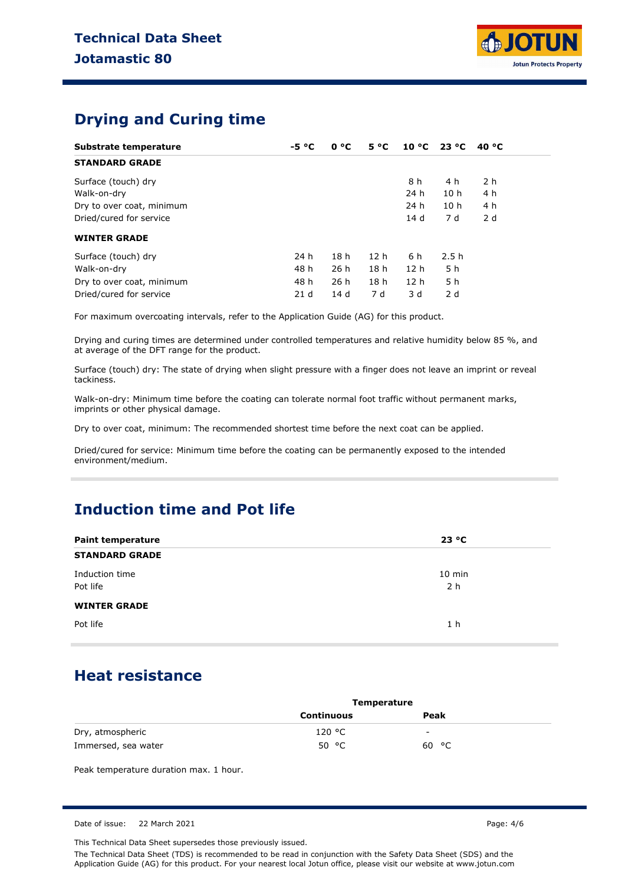

# **Drying and Curing time**

| Substrate temperature     | $-5 °C$         | 0 °C            | $5^{\circ}C$    | $10 °C$ 23 °C   |                 | 40 °C |
|---------------------------|-----------------|-----------------|-----------------|-----------------|-----------------|-------|
| <b>STANDARD GRADE</b>     |                 |                 |                 |                 |                 |       |
| Surface (touch) dry       |                 |                 |                 | 8 h             | 4 h             | 2 h   |
| Walk-on-dry               |                 |                 |                 | 24 h            | 10 <sub>h</sub> | 4 h   |
| Dry to over coat, minimum |                 |                 |                 | 24 h            | 10 <sub>h</sub> | 4 h   |
| Dried/cured for service   |                 |                 |                 | 14 d            | 7 d             | 2d    |
| <b>WINTER GRADE</b>       |                 |                 |                 |                 |                 |       |
| Surface (touch) dry       | 24 h            | 18 <sub>h</sub> | 12 <sub>h</sub> | 6 h             | 2.5h            |       |
| Walk-on-dry               | 48 h            | 26h             | 18 <sub>h</sub> | 12 <sub>h</sub> | 5 h             |       |
| Dry to over coat, minimum | 48 h            | 26h             | 18 <sub>h</sub> | 12 <sub>h</sub> | 5 h             |       |
| Dried/cured for service   | 21 <sub>d</sub> | 14d             | 7 d             | 3 d             | 2d              |       |

For maximum overcoating intervals, refer to the Application Guide (AG) for this product.

Drying and curing times are determined under controlled temperatures and relative humidity below 85 %, and at average of the DFT range for the product.

Surface (touch) dry: The state of drying when slight pressure with a finger does not leave an imprint or reveal tackiness.

Walk-on-dry: Minimum time before the coating can tolerate normal foot traffic without permanent marks, imprints or other physical damage.

Dry to over coat, minimum: The recommended shortest time before the next coat can be applied.

Dried/cured for service: Minimum time before the coating can be permanently exposed to the intended environment/medium.

# **Induction time and Pot life**

| <b>Paint temperature</b>   | 23 °C                      |
|----------------------------|----------------------------|
| <b>STANDARD GRADE</b>      |                            |
| Induction time<br>Pot life | $10$ min<br>2 <sub>h</sub> |
| <b>WINTER GRADE</b>        |                            |
| Pot life                   | 1 <sub>h</sub>             |

## **Heat resistance**

|                     | <b>Temperature</b> |       |  |
|---------------------|--------------------|-------|--|
|                     | <b>Continuous</b>  | Peak  |  |
| Dry, atmospheric    | 120 °C             | -     |  |
| Immersed, sea water | 50 $\degree$ C     | 60 °C |  |

Peak temperature duration max. 1 hour.

Date of issue: 22 March 2021 **Page: 4/6** 

This Technical Data Sheet supersedes those previously issued.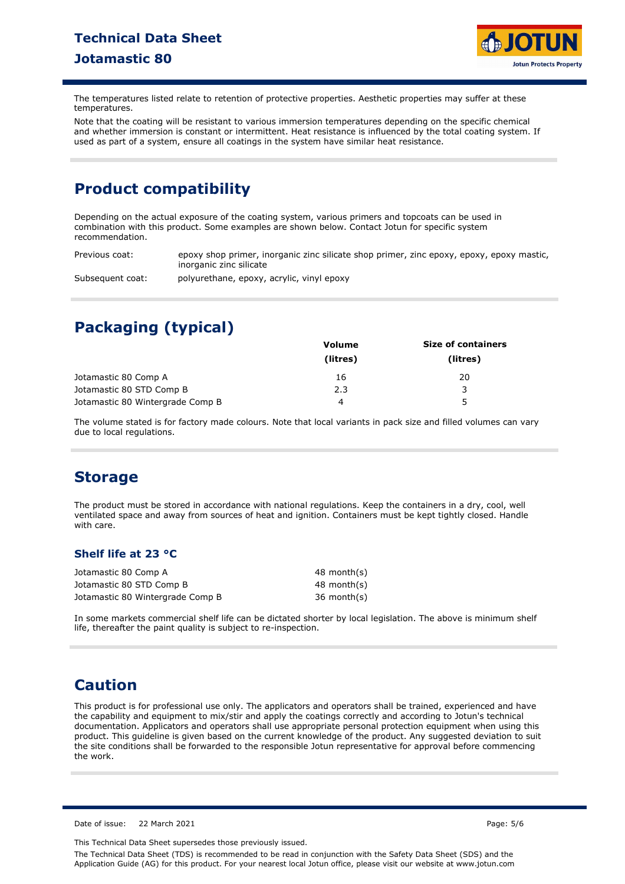

The temperatures listed relate to retention of protective properties. Aesthetic properties may suffer at these temperatures.

Note that the coating will be resistant to various immersion temperatures depending on the specific chemical and whether immersion is constant or intermittent. Heat resistance is influenced by the total coating system. If used as part of a system, ensure all coatings in the system have similar heat resistance.

# **Product compatibility**

Depending on the actual exposure of the coating system, various primers and topcoats can be used in combination with this product. Some examples are shown below. Contact Jotun for specific system recommendation.

Previous coat: epoxy shop primer, inorganic zinc silicate shop primer, zinc epoxy, epoxy, epoxy mastic, inorganic zinc silicate

Subsequent coat: polyurethane, epoxy, acrylic, vinyl epoxy

# **Packaging (typical)**

|                                  | <b>Volume</b> | <b>Size of containers</b> |
|----------------------------------|---------------|---------------------------|
|                                  | (litres)      | (litres)                  |
| Jotamastic 80 Comp A             | 16            | 20                        |
| Jotamastic 80 STD Comp B         | 2.3           | २                         |
| Jotamastic 80 Wintergrade Comp B | 4             | 5                         |

The volume stated is for factory made colours. Note that local variants in pack size and filled volumes can vary due to local regulations.

# **Storage**

The product must be stored in accordance with national regulations. Keep the containers in a dry, cool, well ventilated space and away from sources of heat and ignition. Containers must be kept tightly closed. Handle with care.

### **Shelf life at 23 °C**

| Jotamastic 80 Comp A             | 48 month(s)   |
|----------------------------------|---------------|
| Jotamastic 80 STD Comp B         | 48 month(s)   |
| Jotamastic 80 Wintergrade Comp B | $36$ month(s) |

In some markets commercial shelf life can be dictated shorter by local legislation. The above is minimum shelf life, thereafter the paint quality is subject to re-inspection.

# **Caution**

This product is for professional use only. The applicators and operators shall be trained, experienced and have the capability and equipment to mix/stir and apply the coatings correctly and according to Jotun's technical documentation. Applicators and operators shall use appropriate personal protection equipment when using this product. This guideline is given based on the current knowledge of the product. Any suggested deviation to suit the site conditions shall be forwarded to the responsible Jotun representative for approval before commencing the work.

Date of issue: 22 March 2021 Page: 5/6

This Technical Data Sheet supersedes those previously issued.